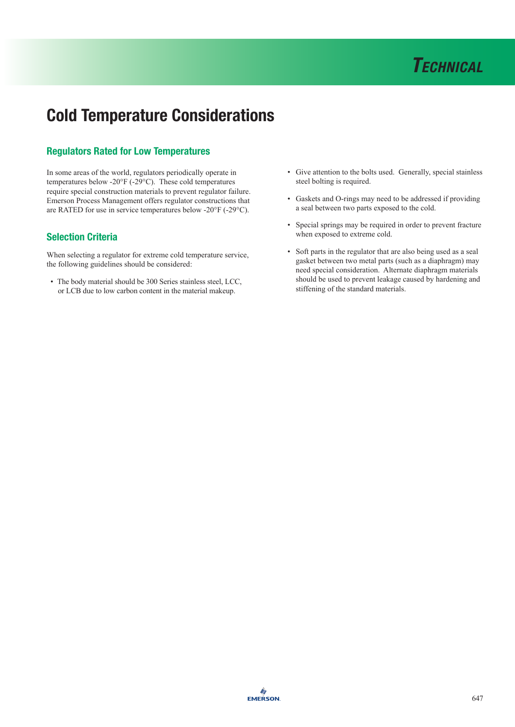

## Cold Temperature Considerations

## Regulators Rated for Low Temperatures

In some areas of the world, regulators periodically operate in temperatures below -20°F (-29°C). These cold temperatures require special construction materials to prevent regulator failure. Emerson Process Management offers regulator constructions that are RATED for use in service temperatures below -20°F (-29°C).

## Selection Criteria

When selecting a regulator for extreme cold temperature service, the following guidelines should be considered:

• The body material should be 300 Series stainless steel, LCC, or LCB due to low carbon content in the material makeup.

- Give attention to the bolts used. Generally, special stainless steel bolting is required.
- Gaskets and O-rings may need to be addressed if providing a seal between two parts exposed to the cold.
- Special springs may be required in order to prevent fracture when exposed to extreme cold.
- Soft parts in the regulator that are also being used as a seal gasket between two metal parts (such as a diaphragm) may need special consideration. Alternate diaphragm materials should be used to prevent leakage caused by hardening and stiffening of the standard materials.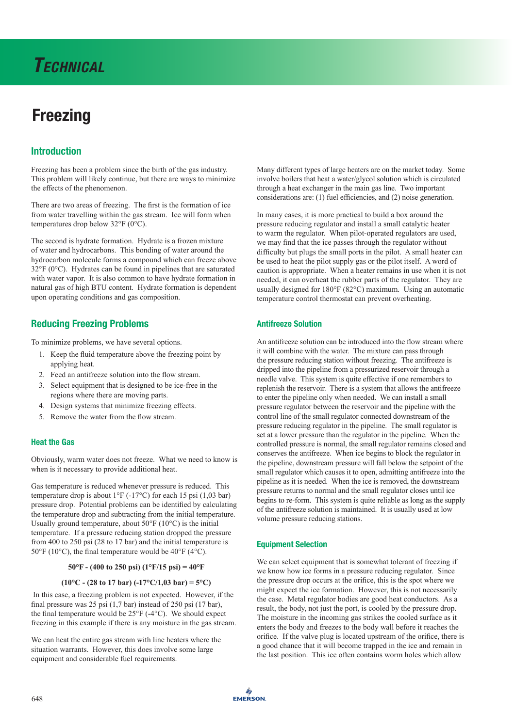# **Freezing**

## Introduction

Freezing has been a problem since the birth of the gas industry. This problem will likely continue, but there are ways to minimize the effects of the phenomenon.

There are two areas of freezing. The first is the formation of ice from water travelling within the gas stream. Ice will form when temperatures drop below 32°F (0°C).

The second is hydrate formation. Hydrate is a frozen mixture of water and hydrocarbons. This bonding of water around the hydrocarbon molecule forms a compound which can freeze above 32°F (0°C). Hydrates can be found in pipelines that are saturated with water vapor. It is also common to have hydrate formation in natural gas of high BTU content. Hydrate formation is dependent upon operating conditions and gas composition.

## Reducing Freezing Problems

To minimize problems, we have several options.

- 1. Keep the fluid temperature above the freezing point by applying heat.
- 2. Feed an antifreeze solution into the flow stream.
- 3. Select equipment that is designed to be ice-free in the regions where there are moving parts.
- 4. Design systems that minimize freezing effects.
- 5. Remove the water from the flow stream.

#### Heat the Gas

Obviously, warm water does not freeze. What we need to know is when is it necessary to provide additional heat.

Gas temperature is reduced whenever pressure is reduced. This temperature drop is about 1°F (-17°C) for each 15 psi (1,03 bar) pressure drop. Potential problems can be identified by calculating the temperature drop and subtracting from the initial temperature. Usually ground temperature, about  $50^{\circ}$ F (10 $^{\circ}$ C) is the initial temperature. If a pressure reducing station dropped the pressure from 400 to 250 psi (28 to 17 bar) and the initial temperature is 50°F (10°C), the final temperature would be 40°F (4°C).

#### **50°F - (400 to 250 psi) (1°F/15 psi) = 40°F**

## **(10°C - (28 to 17 bar) (-17°C/1,03 bar) = 5°C)**

 In this case, a freezing problem is not expected. However, if the final pressure was 25 psi (1,7 bar) instead of 250 psi (17 bar), the final temperature would be 25°F (-4°C). We should expect freezing in this example if there is any moisture in the gas stream.

We can heat the entire gas stream with line heaters where the situation warrants. However, this does involve some large equipment and considerable fuel requirements.

Many different types of large heaters are on the market today. Some involve boilers that heat a water/glycol solution which is circulated through a heat exchanger in the main gas line. Two important considerations are: (1) fuel efficiencies, and (2) noise generation.

In many cases, it is more practical to build a box around the pressure reducing regulator and install a small catalytic heater to warm the regulator. When pilot-operated regulators are used, we may find that the ice passes through the regulator without difficulty but plugs the small ports in the pilot. A small heater can be used to heat the pilot supply gas or the pilot itself. A word of caution is appropriate. When a heater remains in use when it is not needed, it can overheat the rubber parts of the regulator. They are usually designed for 180°F (82°C) maximum. Using an automatic temperature control thermostat can prevent overheating.

#### Antifreeze Solution

An antifreeze solution can be introduced into the flow stream where it will combine with the water. The mixture can pass through the pressure reducing station without freezing. The antifreeze is dripped into the pipeline from a pressurized reservoir through a needle valve. This system is quite effective if one remembers to replenish the reservoir. There is a system that allows the antifreeze to enter the pipeline only when needed. We can install a small pressure regulator between the reservoir and the pipeline with the control line of the small regulator connected downstream of the pressure reducing regulator in the pipeline. The small regulator is set at a lower pressure than the regulator in the pipeline. When the controlled pressure is normal, the small regulator remains closed and conserves the antifreeze. When ice begins to block the regulator in the pipeline, downstream pressure will fall below the setpoint of the small regulator which causes it to open, admitting antifreeze into the pipeline as it is needed. When the ice is removed, the downstream pressure returns to normal and the small regulator closes until ice begins to re-form. This system is quite reliable as long as the supply of the antifreeze solution is maintained. It is usually used at low volume pressure reducing stations.

#### Equipment Selection

We can select equipment that is somewhat tolerant of freezing if we know how ice forms in a pressure reducing regulator. Since the pressure drop occurs at the orifice, this is the spot where we might expect the ice formation. However, this is not necessarily the case. Metal regulator bodies are good heat conductors. As a result, the body, not just the port, is cooled by the pressure drop. The moisture in the incoming gas strikes the cooled surface as it enters the body and freezes to the body wall before it reaches the orifice. If the valve plug is located upstream of the orifice, there is a good chance that it will become trapped in the ice and remain in the last position. This ice often contains worm holes which allow